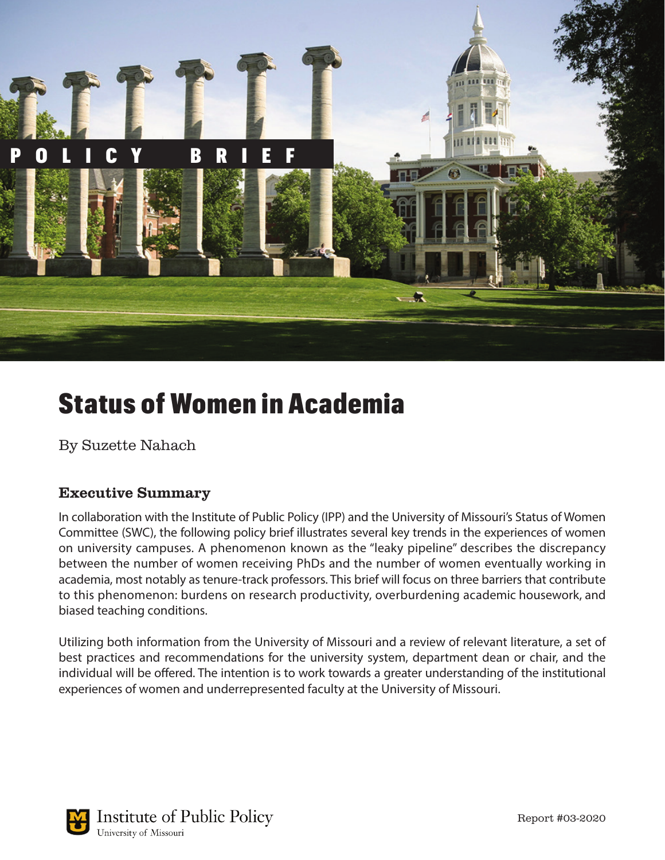

# Status of Women in Academia

By Suzette Nahach

# Executive Summary

In collaboration with the Institute of Public Policy (IPP) and the University of Missouri's Status of Women Committee (SWC), the following policy brief illustrates several key trends in the experiences of women on university campuses. A phenomenon known as the "leaky pipeline" describes the discrepancy between the number of women receiving PhDs and the number of women eventually working in academia, most notably as tenure-track professors. This brief will focus on three barriers that contribute to this phenomenon: burdens on research productivity, overburdening academic housework, and biased teaching conditions.

Utilizing both information from the University of Missouri and a review of relevant literature, a set of best practices and recommendations for the university system, department dean or chair, and the individual will be offered. The intention is to work towards a greater understanding of the institutional experiences of women and underrepresented faculty at the University of Missouri.

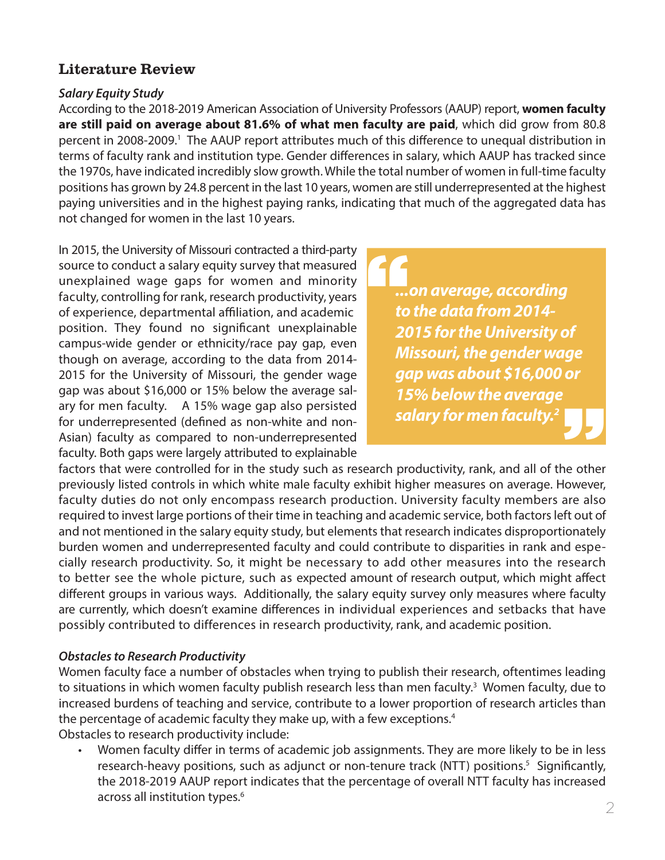# Literature Review

# *Salary Equity Study*

According to the 2018-2019 American Association of University Professors (AAUP) report, **women faculty are still paid on average about 81.6% of what men faculty are paid**, which did grow from 80.8 percent in 2008-2009.<sup>1</sup> The AAUP report attributes much of this difference to unequal distribution in terms of faculty rank and institution type. Gender differences in salary, which AAUP has tracked since the 1970s, have indicated incredibly slow growth. While the total number of women in full-time faculty positions has grown by 24.8 percent in the last 10 years, women are still underrepresented at the highest paying universities and in the highest paying ranks, indicating that much of the aggregated data has not changed for women in the last 10 years.

In 2015, the University of Missouri contracted a third-party source to conduct a salary equity survey that measured unexplained wage gaps for women and minority faculty, controlling for rank, research productivity, years of experience, departmental affiliation, and academic position. They found no significant unexplainable campus-wide gender or ethnicity/race pay gap, even though on average, according to the data from 2014- 2015 for the University of Missouri, the gender wage gap was about \$16,000 or 15% below the average salary for men faculty. A 15% wage gap also persisted for underrepresented (defined as non-white and non-Asian) faculty as compared to non-underrepresented faculty. Both gaps were largely attributed to explainable

*...on average, according to the data from 2014- 2015 for the University of Missouri, the gender wage gap was about \$16,000 or 15% below the average salary for men faculty.2* **"** "

factors that were controlled for in the study such as research productivity, rank, and all of the other previously listed controls in which white male faculty exhibit higher measures on average. However, faculty duties do not only encompass research production. University faculty members are also required to invest large portions of their time in teaching and academic service, both factors left out of and not mentioned in the salary equity study, but elements that research indicates disproportionately burden women and underrepresented faculty and could contribute to disparities in rank and especially research productivity. So, it might be necessary to add other measures into the research to better see the whole picture, such as expected amount of research output, which might affect different groups in various ways. Additionally, the salary equity survey only measures where faculty are currently, which doesn't examine differences in individual experiences and setbacks that have possibly contributed to differences in research productivity, rank, and academic position.

# *Obstacles to Research Productivity*

Women faculty face a number of obstacles when trying to publish their research, oftentimes leading to situations in which women faculty publish research less than men faculty.<sup>3</sup> Women faculty, due to increased burdens of teaching and service, contribute to a lower proportion of research articles than the percentage of academic faculty they make up, with a few exceptions.<sup>4</sup> Obstacles to research productivity include:

• Women faculty differ in terms of academic job assignments. They are more likely to be in less research-heavy positions, such as adjunct or non-tenure track (NTT) positions.<sup>5</sup> Significantly, the 2018-2019 AAUP report indicates that the percentage of overall NTT faculty has increased across all institution types.<sup>6</sup>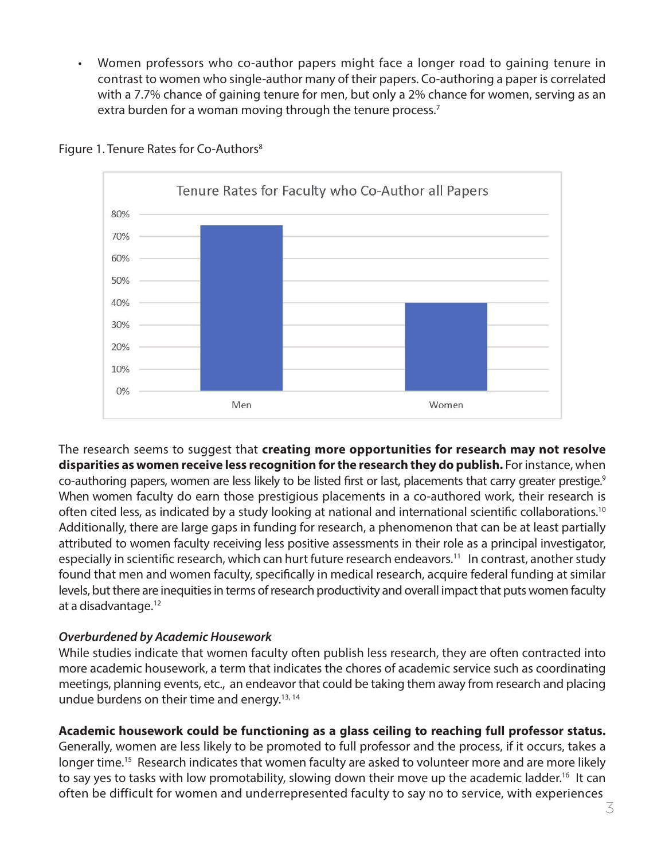• Women professors who co-author papers might face a longer road to gaining tenure in contrast to women who single-author many of their papers. Co-authoring a paper is correlated with a 7.7% chance of gaining tenure for men, but only a 2% chance for women, serving as an extra burden for a woman moving through the tenure process.<sup>7</sup>



#### Figure 1. Tenure Rates for Co-Authors<sup>8</sup>

The research seems to suggest that **creating more opportunities for research may not resolve disparities as women receive less recognition for the research they do publish.** For instance, when co-authoring papers, women are less likely to be listed first or last, placements that carry greater prestige.9 When women faculty do earn those prestigious placements in a co-authored work, their research is often cited less, as indicated by a study looking at national and international scientific collaborations.10 Additionally, there are large gaps in funding for research, a phenomenon that can be at least partially attributed to women faculty receiving less positive assessments in their role as a principal investigator, especially in scientific research, which can hurt future research endeavors.<sup>11</sup> In contrast, another study found that men and women faculty, specifically in medical research, acquire federal funding at similar levels, but there are inequities in terms of research productivity and overall impact that puts women faculty at a disadvantage.12

#### *Overburdened by Academic Housework*

While studies indicate that women faculty often publish less research, they are often contracted into more academic housework, a term that indicates the chores of academic service such as coordinating meetings, planning events, etc., an endeavor that could be taking them away from research and placing undue burdens on their time and energy.13, 14

# **Academic housework could be functioning as a glass ceiling to reaching full professor status.**

Generally, women are less likely to be promoted to full professor and the process, if it occurs, takes a longer time.<sup>15</sup> Research indicates that women faculty are asked to volunteer more and are more likely to say yes to tasks with low promotability, slowing down their move up the academic ladder.<sup>16</sup> It can often be difficult for women and underrepresented faculty to say no to service, with experiences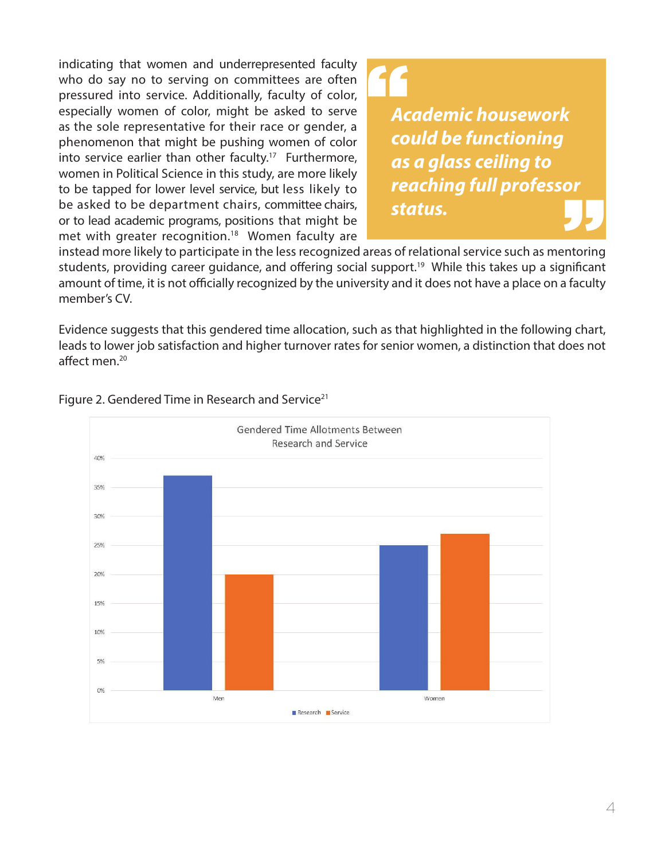indicating that women and underrepresented faculty who do say no to serving on committees are often pressured into service. Additionally, faculty of color, especially women of color, might be asked to serve as the sole representative for their race or gender, a phenomenon that might be pushing women of color into service earlier than other faculty.<sup>17</sup> Furthermore, women in Political Science in this study, are more likely to be tapped for lower level service, but less likely to be asked to be department chairs, committee chairs, or to lead academic programs, positions that might be met with greater recognition.<sup>18</sup> Women faculty are

# "

*Academic housework could be functioning as a glass ceiling to reaching full professor status.*  "

instead more likely to participate in the less recognized areas of relational service such as mentoring students, providing career guidance, and offering social support.<sup>19</sup> While this takes up a significant amount of time, it is not officially recognized by the university and it does not have a place on a faculty member's CV.

Evidence suggests that this gendered time allocation, such as that highlighted in the following chart, leads to lower job satisfaction and higher turnover rates for senior women, a distinction that does not affect men.20



#### Figure 2. Gendered Time in Research and Service<sup>21</sup>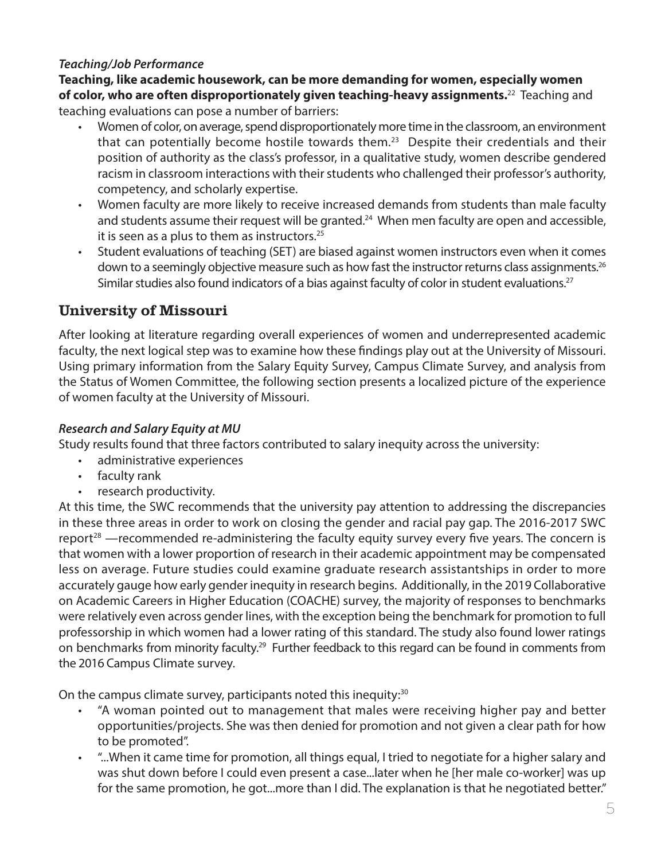# *Teaching/Job Performance*

**Teaching, like academic housework, can be more demanding for women, especially women of color, who are often disproportionately given teaching-heavy assignments.**22 Teaching and teaching evaluations can pose a number of barriers:

- Women of color, on average, spend disproportionately more time in the classroom, an environment that can potentially become hostile towards them.<sup>23</sup> Despite their credentials and their position of authority as the class's professor, in a qualitative study, women describe gendered racism in classroom interactions with their students who challenged their professor's authority, competency, and scholarly expertise.
- Women faculty are more likely to receive increased demands from students than male faculty and students assume their request will be granted.<sup>24</sup> When men faculty are open and accessible, it is seen as a plus to them as instructors. $25$
- Student evaluations of teaching (SET) are biased against women instructors even when it comes down to a seemingly objective measure such as how fast the instructor returns class assignments.<sup>26</sup> Similar studies also found indicators of a bias against faculty of color in student evaluations.<sup>27</sup>

# University of Missouri

After looking at literature regarding overall experiences of women and underrepresented academic faculty, the next logical step was to examine how these findings play out at the University of Missouri. Using primary information from the Salary Equity Survey, Campus Climate Survey, and analysis from the Status of Women Committee, the following section presents a localized picture of the experience of women faculty at the University of Missouri.

# *Research and Salary Equity at MU*

Study results found that three factors contributed to salary inequity across the university:

- administrative experiences
- faculty rank
- research productivity.

At this time, the SWC recommends that the university pay attention to addressing the discrepancies in these three areas in order to work on closing the gender and racial pay gap. The 2016-2017 SWC report<sup>28</sup> —recommended re-administering the faculty equity survey every five years. The concern is that women with a lower proportion of research in their academic appointment may be compensated less on average. Future studies could examine graduate research assistantships in order to more accurately gauge how early gender inequity in research begins. Additionally, in the 2019 Collaborative on Academic Careers in Higher Education (COACHE) survey, the majority of responses to benchmarks were relatively even across gender lines, with the exception being the benchmark for promotion to full professorship in which women had a lower rating of this standard. The study also found lower ratings on benchmarks from minority faculty.<sup>29</sup> Further feedback to this regard can be found in comments from the 2016 Campus Climate survey.

On the campus climate survey, participants noted this inequity:<sup>30</sup>

- "A woman pointed out to management that males were receiving higher pay and better opportunities/projects. She was then denied for promotion and not given a clear path for how to be promoted".
- "...When it came time for promotion, all things equal, I tried to negotiate for a higher salary and was shut down before I could even present a case...later when he [her male co-worker] was up for the same promotion, he got...more than I did. The explanation is that he negotiated better."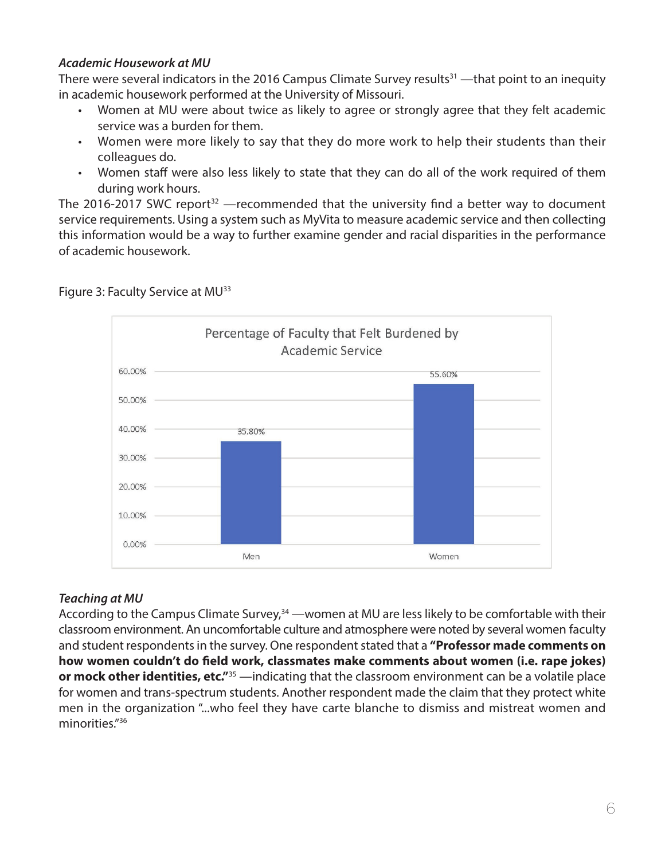## *Academic Housework at MU*

There were several indicators in the 2016 Campus Climate Survey results<sup>31</sup> —that point to an inequity in academic housework performed at the University of Missouri.

- Women at MU were about twice as likely to agree or strongly agree that they felt academic service was a burden for them.
- Women were more likely to say that they do more work to help their students than their colleagues do.
- Women staff were also less likely to state that they can do all of the work required of them during work hours.

The 2016-2017 SWC report<sup>32</sup> —recommended that the university find a better way to document service requirements. Using a system such as MyVita to measure academic service and then collecting this information would be a way to further examine gender and racial disparities in the performance of academic housework.



# Figure 3: Faculty Service at MU<sup>33</sup>

#### *Teaching at MU*

According to the Campus Climate Survey, $34$  —women at MU are less likely to be comfortable with their classroom environment. An uncomfortable culture and atmosphere were noted by several women faculty and student respondents in the survey. One respondent stated that a **"Professor made comments on how women couldn't do field work, classmates make comments about women (i.e. rape jokes) or mock other identities, etc."**<sup>35</sup> —indicating that the classroom environment can be a volatile place for women and trans-spectrum students. Another respondent made the claim that they protect white men in the organization "...who feel they have carte blanche to dismiss and mistreat women and minorities."36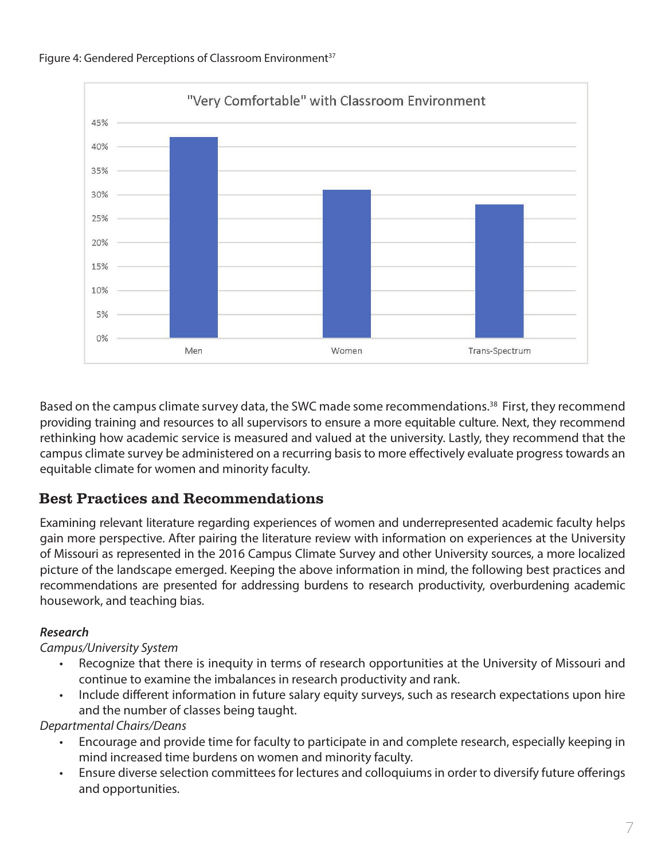

#### Figure 4: Gendered Perceptions of Classroom Environment<sup>37</sup>

Based on the campus climate survey data, the SWC made some recommendations.<sup>38</sup> First, they recommend providing training and resources to all supervisors to ensure a more equitable culture. Next, they recommend rethinking how academic service is measured and valued at the university. Lastly, they recommend that the campus climate survey be administered on a recurring basis to more effectively evaluate progress towards an equitable climate for women and minority faculty.

# Best Practices and Recommendations

Examining relevant literature regarding experiences of women and underrepresented academic faculty helps gain more perspective. After pairing the literature review with information on experiences at the University of Missouri as represented in the 2016 Campus Climate Survey and other University sources, a more localized picture of the landscape emerged. Keeping the above information in mind, the following best practices and recommendations are presented for addressing burdens to research productivity, overburdening academic housework, and teaching bias.

#### *Research*

# *Campus/University System*

- Recognize that there is inequity in terms of research opportunities at the University of Missouri and continue to examine the imbalances in research productivity and rank.
- Include different information in future salary equity surveys, such as research expectations upon hire and the number of classes being taught.

*Departmental Chairs/Deans*

- Encourage and provide time for faculty to participate in and complete research, especially keeping in mind increased time burdens on women and minority faculty.
- Ensure diverse selection committees for lectures and colloquiums in order to diversify future offerings and opportunities.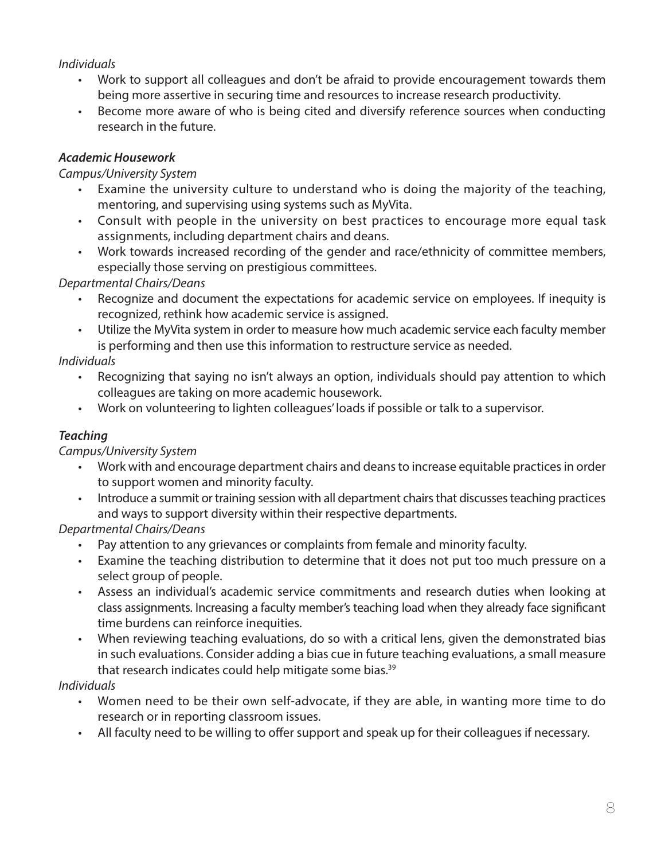# *Individuals*

- Work to support all colleagues and don't be afraid to provide encouragement towards them being more assertive in securing time and resources to increase research productivity.
- Become more aware of who is being cited and diversify reference sources when conducting research in the future.

## *Academic Housework*

## *Campus/University System*

- Examine the university culture to understand who is doing the majority of the teaching, mentoring, and supervising using systems such as MyVita.
- Consult with people in the university on best practices to encourage more equal task assignments, including department chairs and deans.
- Work towards increased recording of the gender and race/ethnicity of committee members, especially those serving on prestigious committees.

# *Departmental Chairs/Deans*

- Recognize and document the expectations for academic service on employees. If inequity is recognized, rethink how academic service is assigned.
- Utilize the MyVita system in order to measure how much academic service each faculty member is performing and then use this information to restructure service as needed.

# *Individuals*

- Recognizing that saying no isn't always an option, individuals should pay attention to which colleagues are taking on more academic housework.
- Work on volunteering to lighten colleagues' loads if possible or talk to a supervisor.

# *Teaching*

# *Campus/University System*

- Work with and encourage department chairs and deans to increase equitable practices in order to support women and minority faculty.
- Introduce a summit or training session with all department chairs that discusses teaching practices and ways to support diversity within their respective departments.

# *Departmental Chairs/Deans*

- Pay attention to any grievances or complaints from female and minority faculty.
- Examine the teaching distribution to determine that it does not put too much pressure on a select group of people.
- Assess an individual's academic service commitments and research duties when looking at class assignments. Increasing a faculty member's teaching load when they already face significant time burdens can reinforce inequities.
- When reviewing teaching evaluations, do so with a critical lens, given the demonstrated bias in such evaluations. Consider adding a bias cue in future teaching evaluations, a small measure that research indicates could help mitigate some bias.<sup>39</sup>

# *Individuals*

- Women need to be their own self-advocate, if they are able, in wanting more time to do research or in reporting classroom issues.
- All faculty need to be willing to offer support and speak up for their colleagues if necessary.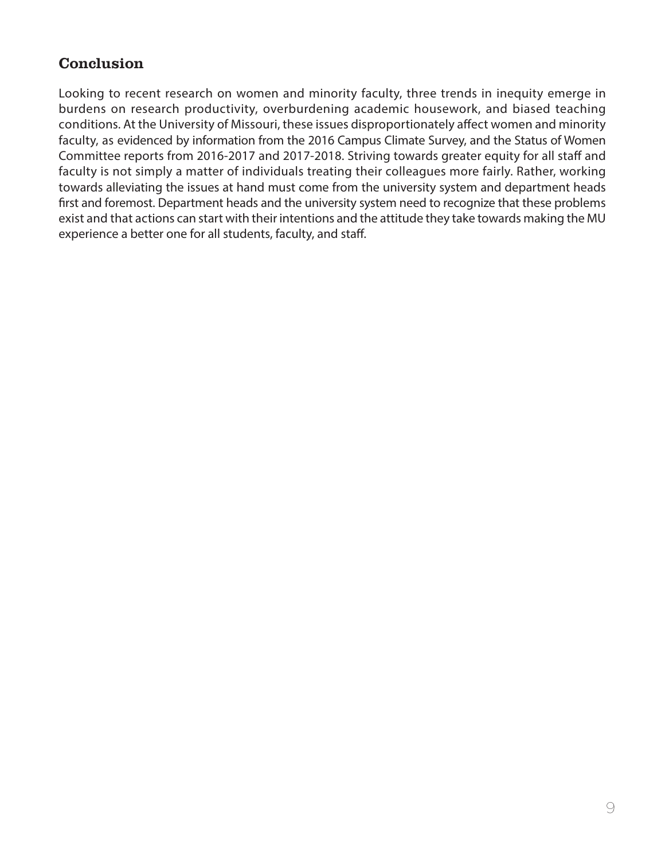# **Conclusion**

Looking to recent research on women and minority faculty, three trends in inequity emerge in burdens on research productivity, overburdening academic housework, and biased teaching conditions. At the University of Missouri, these issues disproportionately affect women and minority faculty, as evidenced by information from the 2016 Campus Climate Survey, and the Status of Women Committee reports from 2016-2017 and 2017-2018. Striving towards greater equity for all staff and faculty is not simply a matter of individuals treating their colleagues more fairly. Rather, working towards alleviating the issues at hand must come from the university system and department heads first and foremost. Department heads and the university system need to recognize that these problems exist and that actions can start with their intentions and the attitude they take towards making the MU experience a better one for all students, faculty, and staff.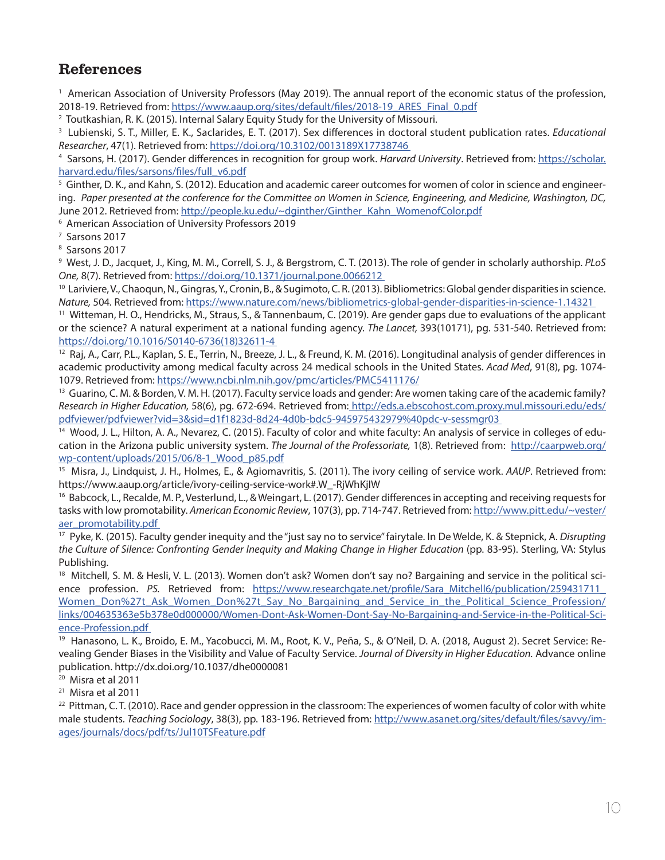# References

<sup>1</sup> American Association of University Professors (May 2019). The annual report of the economic status of the profession, 2018-19. Retrieved from: [https://www.aaup.org/sites/default/files/2018-19\\_ARES\\_Final\\_0.pdf](https://www.aaup.org/sites/default/files/2018-19_ARES_Final_0.pdf )

<sup>2</sup> Toutkashian, R. K. (2015). Internal Salary Equity Study for the University of Missouri.

3 Lubienski, S. T., Miller, E. K., Saclarides, E. T. (2017). Sex differences in doctoral student publication rates. *Educational Researcher*, 47(1). Retrieved from: [https://doi.org/10.3102/0013189X17738746](https://doi.org/10.3102/0013189X17738746  ) 4

 Sarsons, H. (2017). Gender differences in recognition for group work. *Harvard University*. Retrieved from: [https://scholar.](https://scholar.harvard.edu/files/sarsons/files/full_v6.pdf ) [harvard.edu/files/sarsons/files/full\\_v6.pdf](https://scholar.harvard.edu/files/sarsons/files/full_v6.pdf )

 $^5$  Ginther, D. K., and Kahn, S. (2012). Education and academic career outcomes for women of color in science and engineering. *Paper presented at the conference for the Committee on Women in Science, Engineering, and Medicine, Washington, DC,*  June 2012. Retrieved from: [http://people.ku.edu/~dginther/Ginther\\_Kahn\\_WomenofColor.pdf](http://people.ku.edu/~dginther/Ginther_Kahn_WomenofColor.pdf )

6 American Association of University Professors 2019

7 Sarsons 2017

8 Sarsons 2017

9 West, J. D., Jacquet, J., King, M. M., Correll, S. J., & Bergstrom, C. T. (2013). The role of gender in scholarly authorship. *PLoS One,* 8(7). Retrieved from: <u>https://doi.org/10.1371/journal.pone.0066212</u><br><sup>10</sup> Lariviere, V., Chaoqun, N., Gingras, Y., Cronin, B., & Sugimoto, C. R. (2013). Bibliometrics: Global gender disparities in science.

Nature, 504. Retrieved from: https://www.nature.com/news/bibliometrics-global-gender-disparities-in-science-1.14321<br><sup>11</sup> Witteman, H. O., Hendricks, M., Straus, S., & Tannenbaum, C. (2019). Are gender gaps due to evaluatio or the science? A natural experiment at a national funding agency. *The Lancet,* 393(10171), pg. 531-540. Retrieved from: [https://doi.org/10.1016/S0140-6736\(18\)32611-4](https://doi.org/10.1016/S0140-6736(18)32611-4  ) 

<sup>12</sup> Raj, A., Carr, P.L., Kaplan, S. E., Terrin, N., Breeze, J. L., & Freund, K. M. (2016). Longitudinal analysis of gender differences in academic productivity among medical faculty across 24 medical schools in the United States. *Acad Med*, 91(8), pg. 1074- 1079. Retrieved from: [https://www.ncbi.nlm.nih.gov/pmc/articles/PMC5411176/](https://www.ncbi.nlm.nih.gov/pmc/articles/PMC5411176/ )

<sup>13</sup> Guarino, C. M. & Borden, V. M. H. (2017). Faculty service loads and gender: Are women taking care of the academic family? *Research in Higher Education,* 58(6), pg. 672-694. Retrieved from[: http://eds.a.ebscohost.com.proxy.mul.missouri.edu/eds/]( http://eds.a.ebscohost.com.proxy.mul.missouri.edu/eds/pdfviewer/pdfviewer?vid=3&sid=d1f1823d-8d24-4d0b-bdc5-945975432979%40pdc-v-sessmgr03  ) [pdfviewer/pdfviewer?vid=3&sid=d1f1823d-8d24-4d0b-bdc5-945975432979%40pdc-v-sessmgr03]( http://eds.a.ebscohost.com.proxy.mul.missouri.edu/eds/pdfviewer/pdfviewer?vid=3&sid=d1f1823d-8d24-4d0b-bdc5-945975432979%40pdc-v-sessmgr03  ) 

14 Wood, J. L., Hilton, A. A., Nevarez, C. (2015). Faculty of color and white faculty: An analysis of service in colleges of education in the Arizona public university system. *The Journal of the Professoriate,* 1(8). Retrieved from: [http://caarpweb.org/](http://caarpweb.org/wp-content/uploads/2015/06/8-1_Wood_p85.pdf ) [wp-content/uploads/2015/06/8-1\\_Wood\\_p85.pdf](http://caarpweb.org/wp-content/uploads/2015/06/8-1_Wood_p85.pdf )

15 Misra, J., Lindquist, J. H., Holmes, E., & Agiomavritis, S. (2011). The ivory ceiling of service work. *AAUP*. Retrieved from: https://www.aaup.org/article/ivory-ceiling-service-work#.W\_-RjWhKjIW

<sup>16</sup> Babcock, L., Recalde, M. P., Vesterlund, L., & Weingart, L. (2017). Gender differences in accepting and receiving requests for tasks with low promotability. *American Economic Review*, 107(3), pp. 714-747. Retrieved from: [http://www.pitt.edu/~vester/](http://www.pitt.edu/~vester/aer_promotability.pdf  ) [aer\\_promotability.pdf](http://www.pitt.edu/~vester/aer_promotability.pdf  ) 

17 Pyke, K. (2015). Faculty gender inequity and the "just say no to service" fairytale. In De Welde, K. & Stepnick, A. *Disrupting*  the Culture of Silence: Confronting Gender Inequity and Making Change in Higher Education (pp. 83-95). Sterling, VA: Stylus Publishing.

<sup>18</sup> Mitchell, S. M. & Hesli, V. L. (2013). Women don't ask? Women don't say no? Bargaining and service in the political science profession. PS. Retrieved from: https://www.researchgate.net/profile/Sara Mitchell6/publication/259431711 Women Don%27t Ask Women Don%27t Say No Bargaining and Service in the Political Science Profession/ [links/004635363e5b378e0d000000/Women-Dont-Ask-Women-Dont-Say-No-Bargaining-and-Service-in-the-Political-Sci](https://www.researchgate.net/profile/Sara_Mitchell6/publication/259431711_Women_Don%27t_Ask_Women_Don%27t_Say_No_Bargaining_and_Service_in_the_Political_Science_Profession/links/004635363e5b378e0d000000/Women-Dont-Ask-Women-Dont-Say-No-Bargaining-and-Serv)[ence-Profession.pdf](https://www.researchgate.net/profile/Sara_Mitchell6/publication/259431711_Women_Don%27t_Ask_Women_Don%27t_Say_No_Bargaining_and_Service_in_the_Political_Science_Profession/links/004635363e5b378e0d000000/Women-Dont-Ask-Women-Dont-Say-No-Bargaining-and-Serv) 

19 Hanasono, L. K., Broido, E. M., Yacobucci, M. M., Root, K. V., Peña, S., & O'Neil, D. A. (2018, August 2). Secret Service: Revealing Gender Biases in the Visibility and Value of Faculty Service. *Journal of Diversity in Higher Education.* Advance online publication. http://dx.doi.org/10.1037/dhe0000081

20 Misra et al 2011

21 Misra et al 2011

 $^{22}$  Pittman, C. T. (2010). Race and gender oppression in the classroom: The experiences of women faculty of color with white male students. *Teaching Sociology*, 38(3), pp. 183-196. Retrieved from: [http://www.asanet.org/sites/default/files/savvy/im](http://www.asanet.org/sites/default/files/savvy/images/journals/docs/pdf/ts/Jul10TSFeature.pdf )[ages/journals/docs/pdf/ts/Jul10TSFeature.pdf](http://www.asanet.org/sites/default/files/savvy/images/journals/docs/pdf/ts/Jul10TSFeature.pdf )